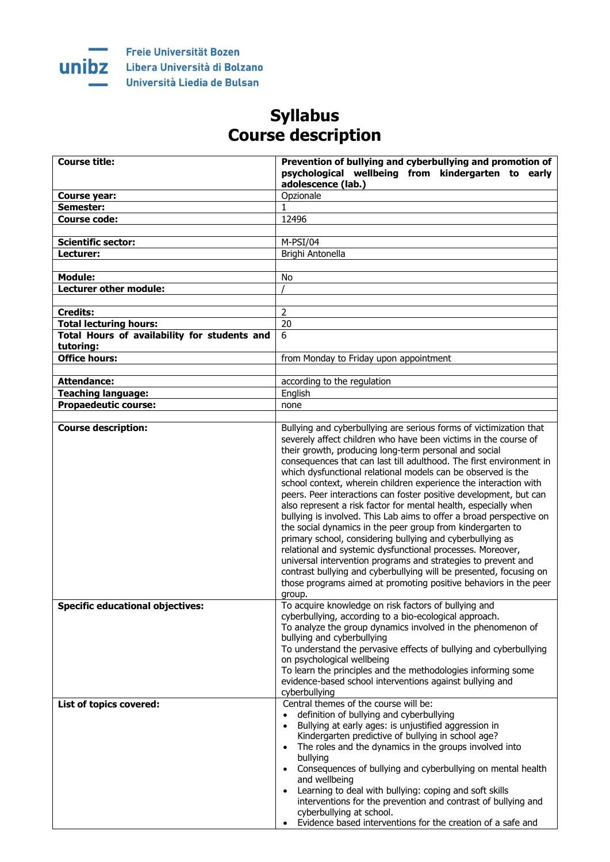

## **Syllabus Course description**

| <b>Course title:</b>                         | Prevention of bullying and cyberbullying and promotion of                                                                            |
|----------------------------------------------|--------------------------------------------------------------------------------------------------------------------------------------|
|                                              | psychological wellbeing from kindergarten to early<br>adolescence (lab.)                                                             |
| <b>Course year:</b>                          | Opzionale                                                                                                                            |
| Semester:                                    | 1                                                                                                                                    |
| <b>Course code:</b>                          | 12496                                                                                                                                |
|                                              |                                                                                                                                      |
| <b>Scientific sector:</b>                    | $M-PSI/04$                                                                                                                           |
| Lecturer:                                    | Brighi Antonella                                                                                                                     |
|                                              |                                                                                                                                      |
| <b>Module:</b>                               | No                                                                                                                                   |
| Lecturer other module:                       |                                                                                                                                      |
|                                              |                                                                                                                                      |
| <b>Credits:</b>                              | $\overline{2}$                                                                                                                       |
| <b>Total lecturing hours:</b>                | 20                                                                                                                                   |
| Total Hours of availability for students and | 6                                                                                                                                    |
| tutoring:                                    |                                                                                                                                      |
| <b>Office hours:</b>                         | from Monday to Friday upon appointment                                                                                               |
|                                              |                                                                                                                                      |
| <b>Attendance:</b>                           | according to the regulation                                                                                                          |
| <b>Teaching language:</b>                    | English                                                                                                                              |
| <b>Propaedeutic course:</b>                  | none                                                                                                                                 |
|                                              |                                                                                                                                      |
| <b>Course description:</b>                   | Bullying and cyberbullying are serious forms of victimization that                                                                   |
|                                              | severely affect children who have been victims in the course of                                                                      |
|                                              | their growth, producing long-term personal and social                                                                                |
|                                              | consequences that can last till adulthood. The first environment in                                                                  |
|                                              | which dysfunctional relational models can be observed is the                                                                         |
|                                              | school context, wherein children experience the interaction with                                                                     |
|                                              | peers. Peer interactions can foster positive development, but can<br>also represent a risk factor for mental health, especially when |
|                                              | bullying is involved. This Lab aims to offer a broad perspective on                                                                  |
|                                              | the social dynamics in the peer group from kindergarten to                                                                           |
|                                              | primary school, considering bullying and cyberbullying as                                                                            |
|                                              | relational and systemic dysfunctional processes. Moreover,                                                                           |
|                                              | universal intervention programs and strategies to prevent and                                                                        |
|                                              | contrast bullying and cyberbullying will be presented, focusing on                                                                   |
|                                              | those programs aimed at promoting positive behaviors in the peer                                                                     |
|                                              | group.                                                                                                                               |
| <b>Specific educational objectives:</b>      | To acquire knowledge on risk factors of bullying and                                                                                 |
|                                              | cyberbullying, according to a bio-ecological approach.                                                                               |
|                                              | To analyze the group dynamics involved in the phenomenon of                                                                          |
|                                              | bullying and cyberbullying                                                                                                           |
|                                              | To understand the pervasive effects of bullying and cyberbullying                                                                    |
|                                              | on psychological wellbeing                                                                                                           |
|                                              | To learn the principles and the methodologies informing some<br>evidence-based school interventions against bullying and             |
|                                              | cyberbullying                                                                                                                        |
| List of topics covered:                      | Central themes of the course will be:                                                                                                |
|                                              | definition of bullying and cyberbullying<br>$\bullet$                                                                                |
|                                              | Bullying at early ages: is unjustified aggression in                                                                                 |
|                                              | Kindergarten predictive of bullying in school age?                                                                                   |
|                                              | The roles and the dynamics in the groups involved into<br>$\bullet$                                                                  |
|                                              | bullying                                                                                                                             |
|                                              | Consequences of bullying and cyberbullying on mental health<br>$\bullet$                                                             |
|                                              | and wellbeing                                                                                                                        |
|                                              | Learning to deal with bullying: coping and soft skills<br>$\bullet$                                                                  |
|                                              | interventions for the prevention and contrast of bullying and                                                                        |
|                                              | cyberbullying at school.                                                                                                             |
|                                              | Evidence based interventions for the creation of a safe and                                                                          |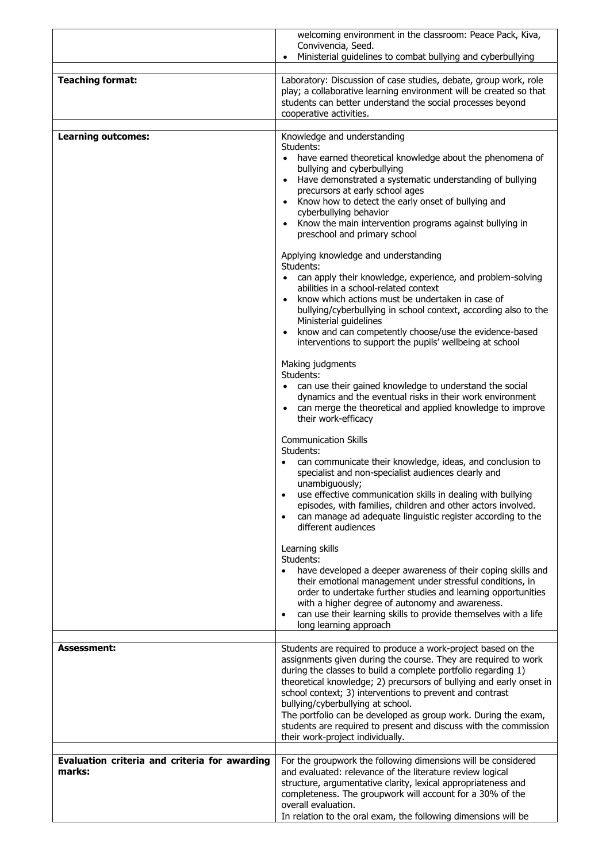|                                                         | welcoming environment in the classroom: Peace Pack, Kiva,<br>Convivencia, Seed.                                                                                                                                                                                                                                                                                                                                                                                                   |
|---------------------------------------------------------|-----------------------------------------------------------------------------------------------------------------------------------------------------------------------------------------------------------------------------------------------------------------------------------------------------------------------------------------------------------------------------------------------------------------------------------------------------------------------------------|
|                                                         | Ministerial guidelines to combat bullying and cyberbullying<br>$\bullet$                                                                                                                                                                                                                                                                                                                                                                                                          |
| <b>Teaching format:</b>                                 | Laboratory: Discussion of case studies, debate, group work, role<br>play; a collaborative learning environment will be created so that<br>students can better understand the social processes beyond<br>cooperative activities.                                                                                                                                                                                                                                                   |
| <b>Learning outcomes:</b>                               | Knowledge and understanding                                                                                                                                                                                                                                                                                                                                                                                                                                                       |
|                                                         | Students:<br>have earned theoretical knowledge about the phenomena of<br>bullying and cyberbullying<br>Have demonstrated a systematic understanding of bullying<br>$\bullet$<br>precursors at early school ages<br>Know how to detect the early onset of bullying and<br>$\bullet$<br>cyberbullying behavior<br>Know the main intervention programs against bullying in<br>$\bullet$<br>preschool and primary school                                                              |
|                                                         | Applying knowledge and understanding<br>Students:                                                                                                                                                                                                                                                                                                                                                                                                                                 |
|                                                         | can apply their knowledge, experience, and problem-solving<br>abilities in a school-related context<br>know which actions must be undertaken in case of<br>bullying/cyberbullying in school context, according also to the<br>Ministerial guidelines<br>know and can competently choose/use the evidence-based<br>$\bullet$<br>interventions to support the pupils' wellbeing at school                                                                                           |
|                                                         | Making judgments                                                                                                                                                                                                                                                                                                                                                                                                                                                                  |
|                                                         | Students:<br>• can use their gained knowledge to understand the social<br>dynamics and the eventual risks in their work environment<br>can merge the theoretical and applied knowledge to improve<br>their work-efficacy                                                                                                                                                                                                                                                          |
|                                                         | <b>Communication Skills</b><br>Students:<br>can communicate their knowledge, ideas, and conclusion to<br>specialist and non-specialist audiences clearly and<br>unambiguously;<br>use effective communication skills in dealing with bullying<br>episodes, with families, children and other actors involved.<br>can manage ad adequate linguistic register according to the<br>$\bullet$<br>different audiences                                                                  |
|                                                         | Learning skills<br>Students:<br>have developed a deeper awareness of their coping skills and<br>$\bullet$<br>their emotional management under stressful conditions, in<br>order to undertake further studies and learning opportunities<br>with a higher degree of autonomy and awareness.<br>can use their learning skills to provide themselves with a life<br>$\bullet$<br>long learning approach                                                                              |
| Assessment:                                             | Students are required to produce a work-project based on the                                                                                                                                                                                                                                                                                                                                                                                                                      |
|                                                         | assignments given during the course. They are required to work<br>during the classes to build a complete portfolio regarding 1)<br>theoretical knowledge; 2) precursors of bullying and early onset in<br>school context; 3) interventions to prevent and contrast<br>bullying/cyberbullying at school.<br>The portfolio can be developed as group work. During the exam,<br>students are required to present and discuss with the commission<br>their work-project individually. |
| Evaluation criteria and criteria for awarding<br>marks: | For the groupwork the following dimensions will be considered<br>and evaluated: relevance of the literature review logical<br>structure, argumentative clarity, lexical appropriateness and<br>completeness. The groupwork will account for a 30% of the<br>overall evaluation.<br>In relation to the oral exam, the following dimensions will be                                                                                                                                 |